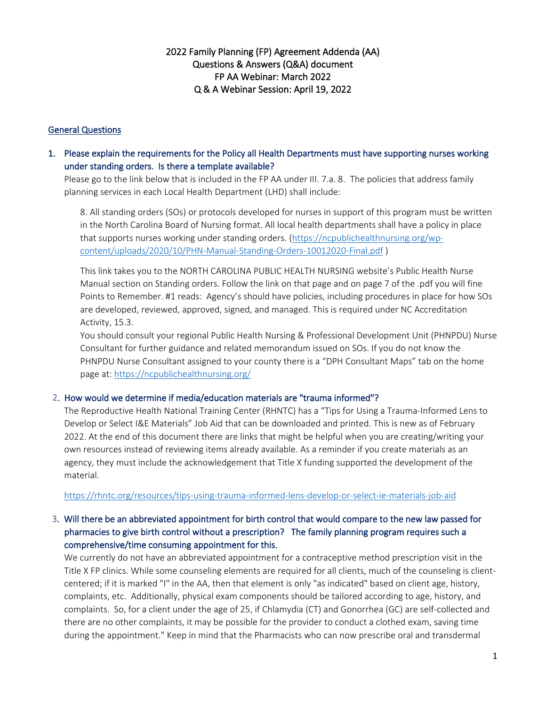# 2022 Family Planning (FP) Agreement Addenda (AA) Questions & Answers (Q&A) document FP AA Webinar: March 2022 Q & A Webinar Session: April 19, 2022

#### General Questions

1. Please explain the requirements for the Policy all Health Departments must have supporting nurses working under standing orders. Is there a template available?

Please go to the link below that is included in the FP AA under III. 7.a. 8. The policies that address family planning services in each Local Health Department (LHD) shall include:

8. All standing orders (SOs) or protocols developed for nurses in support of this program must be written in the North Carolina Board of Nursing format. All local health departments shall have a policy in place that supports nurses working under standing orders. [\(https://ncpublichealthnursing.org/wp](https://ncpublichealthnursing.org/wp-content/uploads/2020/10/PHN-Manual-Standing-Orders-10012020-Final.pdf)[content/uploads/2020/10/PHN-Manual-Standing-Orders-10012020-Final.pdf](https://ncpublichealthnursing.org/wp-content/uploads/2020/10/PHN-Manual-Standing-Orders-10012020-Final.pdf) )

This link takes you to the NORTH CAROLINA PUBLIC HEALTH NURSING website's Public Health Nurse Manual section on Standing orders. Follow the link on that page and on page 7 of the .pdf you will fine Points to Remember. #1 reads: Agency's should have policies, including procedures in place for how SOs are developed, reviewed, approved, signed, and managed. This is required under NC Accreditation Activity, 15.3.

You should consult your regional Public Health Nursing & Professional Development Unit (PHNPDU) Nurse Consultant for further guidance and related memorandum issued on SOs. If you do not know the PHNPDU Nurse Consultant assigned to your county there is a "DPH Consultant Maps" tab on the home page at:<https://ncpublichealthnursing.org/>

#### 2. How would we determine if media/education materials are "trauma informed"?

The Reproductive Health National Training Center (RHNTC) has a "Tips for Using a Trauma-Informed Lens to Develop or Select I&E Materials" Job Aid that can be downloaded and printed. This is new as of February 2022. At the end of this document there are links that might be helpful when you are creating/writing your own resources instead of reviewing items already available. As a reminder if you create materials as an agency, they must include the acknowledgement that Title X funding supported the development of the material.

<https://rhntc.org/resources/tips-using-trauma-informed-lens-develop-or-select-ie-materials-job-aid>

# 3. Will there be an abbreviated appointment for birth control that would compare to the new law passed for pharmacies to give birth control without a prescription? The family planning program requires such a comprehensive/time consuming appointment for this.

We currently do not have an abbreviated appointment for a contraceptive method prescription visit in the Title X FP clinics. While some counseling elements are required for all clients, much of the counseling is clientcentered; if it is marked "I" in the AA, then that element is only "as indicated" based on client age, history, complaints, etc. Additionally, physical exam components should be tailored according to age, history, and complaints. So, for a client under the age of 25, if Chlamydia (CT) and Gonorrhea (GC) are self-collected and there are no other complaints, it may be possible for the provider to conduct a clothed exam, saving time during the appointment." Keep in mind that the Pharmacists who can now prescribe oral and transdermal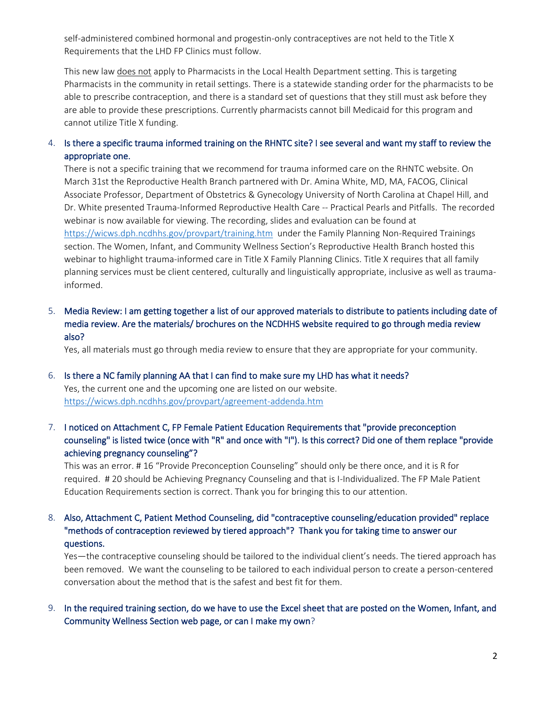self-administered combined hormonal and progestin-only contraceptives are not held to the Title X Requirements that the LHD FP Clinics must follow.

This new law does not apply to Pharmacists in the Local Health Department setting. This is targeting Pharmacists in the community in retail settings. There is a statewide standing order for the pharmacists to be able to prescribe contraception, and there is a standard set of questions that they still must ask before they are able to provide these prescriptions. Currently pharmacists cannot bill Medicaid for this program and cannot utilize Title X funding.

### 4. Is there a specific trauma informed training on the RHNTC site? I see several and want my staff to review the appropriate one.

There is not a specific training that we recommend for trauma informed care on the RHNTC website. On March 31st the Reproductive Health Branch partnered with Dr. Amina White, MD, MA, FACOG, Clinical Associate Professor, Department of Obstetrics & Gynecology University of North Carolina at Chapel Hill, and Dr. White presented Trauma-Informed Reproductive Health Care -- Practical Pearls and Pitfalls. The recorded webinar is now available for viewing. The recording, slides and evaluation can be found at <https://wicws.dph.ncdhhs.gov/provpart/training.htm> under the Family Planning Non-Required Trainings section. The Women, Infant, and Community Wellness Section's Reproductive Health Branch hosted this webinar to highlight trauma-informed care in Title X Family Planning Clinics. Title X requires that all family planning services must be client centered, culturally and linguistically appropriate, inclusive as well as traumainformed.

5. Media Review: I am getting together a list of our approved materials to distribute to patients including date of media review. Are the materials/ brochures on the NCDHHS website required to go through media review also?

Yes, all materials must go through media review to ensure that they are appropriate for your community.

- 6. Is there a NC family planning AA that I can find to make sure my LHD has what it needs? Yes, the current one and the upcoming one are listed on our website. <https://wicws.dph.ncdhhs.gov/provpart/agreement-addenda.htm>
- 7. I noticed on Attachment C, FP Female Patient Education Requirements that "provide preconception counseling" is listed twice (once with "R" and once with "I"). Is this correct? Did one of them replace "provide achieving pregnancy counseling"?

This was an error. # 16 "Provide Preconception Counseling" should only be there once, and it is R for required. # 20 should be Achieving Pregnancy Counseling and that is I-Individualized. The FP Male Patient Education Requirements section is correct. Thank you for bringing this to our attention.

8. Also, Attachment C, Patient Method Counseling, did "contraceptive counseling/education provided" replace "methods of contraception reviewed by tiered approach"? Thank you for taking time to answer our questions.

Yes—the contraceptive counseling should be tailored to the individual client's needs. The tiered approach has been removed. We want the counseling to be tailored to each individual person to create a person-centered conversation about the method that is the safest and best fit for them.

9. In the required training section, do we have to use the Excel sheet that are posted on the Women, Infant, and Community Wellness Section web page, or can I make my own?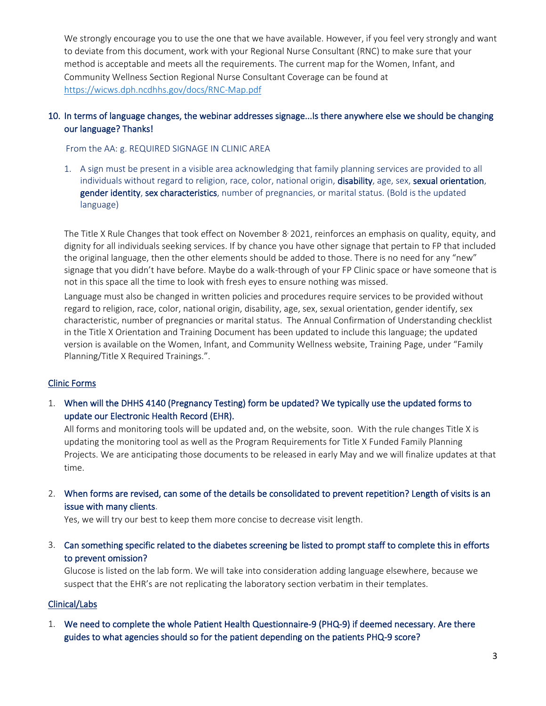We strongly encourage you to use the one that we have available. However, if you feel very strongly and want to deviate from this document, work with your Regional Nurse Consultant (RNC) to make sure that your method is acceptable and meets all the requirements. The current map for the Women, Infant, and Community Wellness Section Regional Nurse Consultant Coverage can be found at <https://wicws.dph.ncdhhs.gov/docs/RNC-Map.pdf>

### 10. In terms of language changes, the webinar addresses signage...Is there anywhere else we should be changing our language? Thanks!

From the AA: g. REQUIRED SIGNAGE IN CLINIC AREA

1. A sign must be present in a visible area acknowledging that family planning services are provided to all individuals without regard to religion, race, color, national origin, disability, age, sex, sexual orientation, gender identity, sex characteristics, number of pregnancies, or marital status. (Bold is the updated language)

The Title X Rule Changes that took effect on November 8<sup>,</sup> 2021, reinforces an emphasis on quality, equity, and dignity for all individuals seeking services. If by chance you have other signage that pertain to FP that included the original language, then the other elements should be added to those. There is no need for any "new" signage that you didn't have before. Maybe do a walk-through of your FP Clinic space or have someone that is not in this space all the time to look with fresh eyes to ensure nothing was missed.

Language must also be changed in written policies and procedures require services to be provided without regard to religion, race, color, national origin, disability, age, sex, sexual orientation, gender identify, sex characteristic, number of pregnancies or marital status. The Annual Confirmation of Understanding checklist in the Title X Orientation and Training Document has been updated to include this language; the updated version is available on the Women, Infant, and Community Wellness website, Training Page, under "Family Planning/Title X Required Trainings.".

### Clinic Forms

1. When will the DHHS 4140 (Pregnancy Testing) form be updated? We typically use the updated forms to update our Electronic Health Record (EHR).

All forms and monitoring tools will be updated and, on the website, soon. With the rule changes Title X is updating the monitoring tool as well as the Program Requirements for Title X Funded Family Planning Projects. We are anticipating those documents to be released in early May and we will finalize updates at that time.

2. When forms are revised, can some of the details be consolidated to prevent repetition? Length of visits is an issue with many clients.

Yes, we will try our best to keep them more concise to decrease visit length.

3. Can something specific related to the diabetes screening be listed to prompt staff to complete this in efforts to prevent omission?

Glucose is listed on the lab form. We will take into consideration adding language elsewhere, because we suspect that the EHR's are not replicating the laboratory section verbatim in their templates.

### Clinical/Labs

1. We need to complete the whole Patient Health Questionnaire-9 (PHQ-9) if deemed necessary. Are there guides to what agencies should so for the patient depending on the patients PHQ-9 score?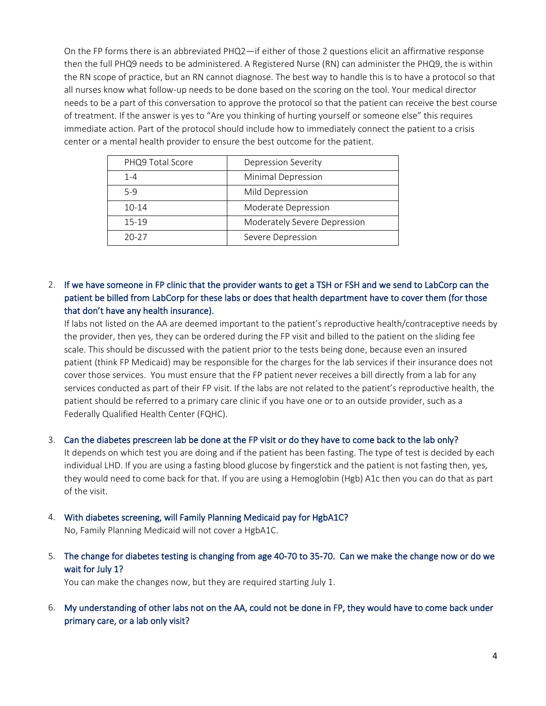On the FP forms there is an abbreviated PHQ2—if either of those 2 questions elicit an affirmative response then the full PHQ9 needs to be administered. A Registered Nurse (RN) can administer the PHQ9, the is within the RN scope of practice, but an RN cannot diagnose. The best way to handle this is to have a protocol so that all nurses know what follow-up needs to be done based on the scoring on the tool. Your medical director needs to be a part of this conversation to approve the protocol so that the patient can receive the best course of treatment. If the answer is yes to "Are you thinking of hurting yourself or someone else" this requires immediate action. Part of the protocol should include how to immediately connect the patient to a crisis center or a mental health provider to ensure the best outcome for the patient.

| PHQ9 Total Score | Depression Severity          |
|------------------|------------------------------|
| $1 - 4$          | Minimal Depression           |
| $5-9$            | Mild Depression              |
| $10 - 14$        | Moderate Depression          |
| 15-19            | Moderately Severe Depression |
| $20 - 27$        | Severe Depression            |

# 2. If we have someone in FP clinic that the provider wants to get a TSH or FSH and we send to LabCorp can the patient be billed from LabCorp for these labs or does that health department have to cover them (for those that don't have any health insurance).

If labs not listed on the AA are deemed important to the patient's reproductive health/contraceptive needs by the provider, then yes, they can be ordered during the FP visit and billed to the patient on the sliding fee scale. This should be discussed with the patient prior to the tests being done, because even an insured patient (think FP Medicaid) may be responsible for the charges for the lab services if their insurance does not cover those services. You must ensure that the FP patient never receives a bill directly from a lab for any services conducted as part of their FP visit. If the labs are not related to the patient's reproductive health, the patient should be referred to a primary care clinic if you have one or to an outside provider, such as a Federally Qualified Health Center (FQHC).

# 3. Can the diabetes prescreen lab be done at the FP visit or do they have to come back to the lab only? It depends on which test you are doing and if the patient has been fasting. The type of test is decided by each individual LHD. If you are using a fasting blood glucose by fingerstick and the patient is not fasting then, yes, they would need to come back for that. If you are using a Hemoglobin (Hgb) A1c then you can do that as part of the visit.

### 4. With diabetes screening, will Family Planning Medicaid pay for HgbA1C?

No, Family Planning Medicaid will not cover a HgbA1C.

5. The change for diabetes testing is changing from age 40-70 to 35-70. Can we make the change now or do we wait for July 1?

You can make the changes now, but they are required starting July 1.

6. My understanding of other labs not on the AA, could not be done in FP, they would have to come back under primary care, or a lab only visit?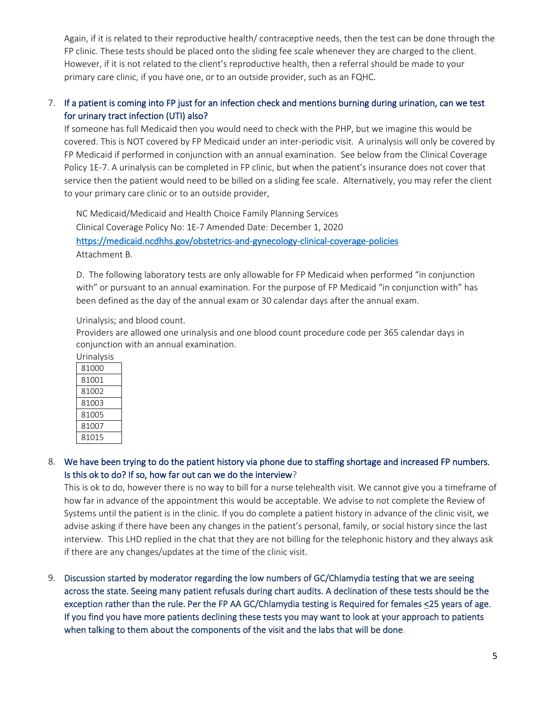Again, if it is related to their reproductive health/ contraceptive needs, then the test can be done through the FP clinic. These tests should be placed onto the sliding fee scale whenever they are charged to the client. However, if it is not related to the client's reproductive health, then a referral should be made to your primary care clinic, if you have one, or to an outside provider, such as an FQHC.

## 7. If a patient is coming into FP just for an infection check and mentions burning during urination, can we test for urinary tract infection (UTI) also?

If someone has full Medicaid then you would need to check with the PHP, but we imagine this would be covered. This is NOT covered by FP Medicaid under an inter-periodic visit. A urinalysis will only be covered by FP Medicaid if performed in conjunction with an annual examination. See below from the Clinical Coverage Policy 1E-7. A urinalysis can be completed in FP clinic, but when the patient's insurance does not cover that service then the patient would need to be billed on a sliding fee scale. Alternatively, you may refer the client to your primary care clinic or to an outside provider,

NC Medicaid/Medicaid and Health Choice Family Planning Services Clinical Coverage Policy No: 1E-7 Amended Date: December 1, 2020 <https://medicaid.ncdhhs.gov/obstetrics-and-gynecology-clinical-coverage-policies> Attachment B.

D. The following laboratory tests are only allowable for FP Medicaid when performed "in conjunction with" or pursuant to an annual examination. For the purpose of FP Medicaid "in conjunction with" has been defined as the day of the annual exam or 30 calendar days after the annual exam.

Urinalysis; and blood count.

Providers are allowed one urinalysis and one blood count procedure code per 365 calendar days in conjunction with an annual examination.

| Urinalysis |  |
|------------|--|
| 81000      |  |
| 81001      |  |
| 81002      |  |
| 81003      |  |
| 81005      |  |
| 81007      |  |
| 81015      |  |

8. We have been trying to do the patient history via phone due to staffing shortage and increased FP numbers. Is this ok to do? If so, how far out can we do the interview?

This is ok to do, however there is no way to bill for a nurse telehealth visit. We cannot give you a timeframe of how far in advance of the appointment this would be acceptable. We advise to not complete the Review of Systems until the patient is in the clinic. If you do complete a patient history in advance of the clinic visit, we advise asking if there have been any changes in the patient's personal, family, or social history since the last interview. This LHD replied in the chat that they are not billing for the telephonic history and they always ask if there are any changes/updates at the time of the clinic visit.

9. Discussion started by moderator regarding the low numbers of GC/Chlamydia testing that we are seeing across the state. Seeing many patient refusals during chart audits. A declination of these tests should be the exception rather than the rule. Per the FP AA GC/Chlamydia testing is Required for females <25 years of age. If you find you have more patients declining these tests you may want to look at your approach to patients when talking to them about the components of the visit and the labs that will be done.